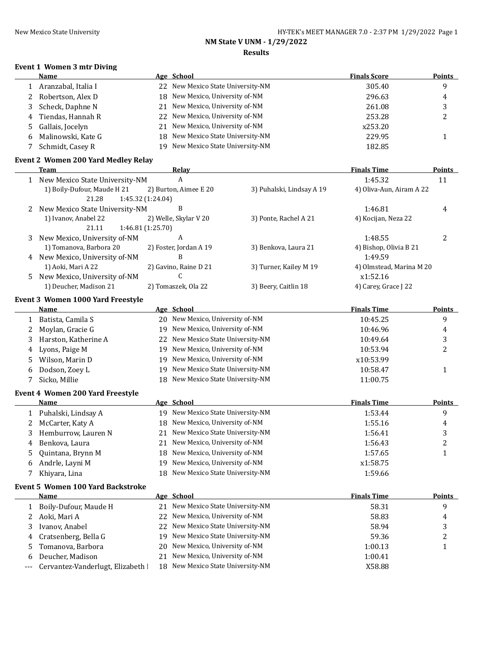$\overline{\phantom{a}}$ 

# **NM State V UNM - 1/29/2022**

### **Results**

### **Event 1 Women 3 mtr Diving**

| Name                 |    | Age School                        | <b>Finals Score</b> | <b>Points</b> |
|----------------------|----|-----------------------------------|---------------------|---------------|
| Aranzabal, Italia I  |    | 22 New Mexico State University-NM | 305.40              | a             |
| 2 Robertson, Alex D  |    | 18 New Mexico, University of-NM   | 296.63              | 4             |
| 3 Scheck, Daphne N   |    | 21 New Mexico, University of-NM   | 261.08              | ت             |
| 4 Tiendas, Hannah R  |    | 22 New Mexico, University of-NM   | 253.28              |               |
| 5 Gallais, Jocelyn   |    | 21 New Mexico, University of-NM   | x253.20             |               |
| 6 Malinowski, Kate G |    | 18 New Mexico State University-NM | 229.95              |               |
| Schmidt, Casey R     | 19 | New Mexico State University-NM    | 182.85              |               |

### **Event 2 Women 200 Yard Medley Relay**

|    | Team                             | Relav                  |                           | <b>Finals Time</b>       | <b>Points</b> |
|----|----------------------------------|------------------------|---------------------------|--------------------------|---------------|
| 1  | New Mexico State University-NM   | A                      |                           | 1:45.32                  | 11            |
|    | 1) Boily-Dufour, Maude H 21      | 2) Burton, Aimee E 20  | 3) Puhalski, Lindsay A 19 | 4) Oliva-Aun, Airam A 22 |               |
|    | 21.28                            | 1:45.32 (1:24.04)      |                           |                          |               |
|    | 2 New Mexico State University-NM | B                      |                           | 1:46.81                  | 4             |
|    | 1) Ivanov, Anabel 22             | 2) Welle, Skylar V 20  | 3) Ponte, Rachel A 21     | 4) Kocijan, Neza 22      |               |
|    | 21.11                            | 1:46.81(1:25.70)       |                           |                          |               |
| 3  | New Mexico, University of-NM     | A                      |                           | 1:48.55                  |               |
|    | 1) Tomanova, Barbora 20          | 2) Foster, Jordan A 19 | 3) Benkova, Laura 21      | 4) Bishop, Olivia B 21   |               |
| 4  | New Mexico, University of-NM     | B                      |                           | 1:49.59                  |               |
|    | 1) Aoki, Mari A 22               | 2) Gavino, Raine D 21  | 3) Turner, Kailey M 19    | 4) Olmstead, Marina M 20 |               |
| 5. | New Mexico, University of-NM     |                        |                           | x1:52.16                 |               |
|    | 1) Deucher, Madison 21           | 2) Tomaszek, Ola 22    | 3) Beery, Caitlin 18      | 4) Carey, Grace J 22     |               |

#### **Event 3 Women 1000 Yard Freestyle**

|     | <b>Name</b>                              |    | Age School                     | <b>Finals Time</b> | <b>Points</b> |
|-----|------------------------------------------|----|--------------------------------|--------------------|---------------|
| 1   | Batista, Camila S                        | 20 | New Mexico, University of-NM   | 10:45.25           | 9             |
| 2   | Moylan, Gracie G                         | 19 | New Mexico, University of-NM   | 10:46.96           | 4             |
| 3   | Harston, Katherine A                     | 22 | New Mexico State University-NM | 10:49.64           | 3             |
| 4   | Lyons, Paige M                           | 19 | New Mexico, University of-NM   | 10:53.94           | 2             |
| 5   | Wilson, Marin D                          | 19 | New Mexico, University of-NM   | x10:53.99          |               |
| 6   | Dodson, Zoey L                           | 19 | New Mexico State University-NM | 10:58.47           | $\mathbf{1}$  |
| 7   | Sicko, Millie                            | 18 | New Mexico State University-NM | 11:00.75           |               |
|     | <b>Event 4 Women 200 Yard Freestyle</b>  |    |                                |                    |               |
|     | Name                                     |    | Age School                     | <b>Finals Time</b> | <b>Points</b> |
| 1   | Puhalski, Lindsay A                      | 19 | New Mexico State University-NM | 1:53.44            | 9             |
| 2   | McCarter, Katy A                         | 18 | New Mexico, University of-NM   | 1:55.16            | 4             |
| 3   | Hemburrow, Lauren N                      | 21 | New Mexico State University-NM | 1:56.41            | 3             |
| 4   | Benkova, Laura                           | 21 | New Mexico, University of-NM   | 1:56.43            | 2             |
| 5   | Quintana, Brynn M                        | 18 | New Mexico, University of-NM   | 1:57.65            | $\mathbf{1}$  |
| 6   | Andrle, Layni M                          | 19 | New Mexico, University of-NM   | x1:58.75           |               |
| 7   | Khiyara, Lina                            | 18 | New Mexico State University-NM | 1:59.66            |               |
|     | <b>Event 5 Women 100 Yard Backstroke</b> |    |                                |                    |               |
|     | Name                                     |    | Age School                     | <b>Finals Time</b> | Points        |
| 1   | Boily-Dufour, Maude H                    | 21 | New Mexico State University-NM | 58.31              | 9             |
| 2   | Aoki, Mari A                             | 22 | New Mexico, University of-NM   | 58.83              | 4             |
| 3   | Ivanov, Anabel                           | 22 | New Mexico State University-NM | 58.94              | 3             |
| 4   | Cratsenberg, Bella G                     | 19 | New Mexico State University-NM | 59.36              | 2             |
| 5   | Tomanova, Barbora                        | 20 | New Mexico, University of-NM   | 1:00.13            | 1             |
| 6   | Deucher, Madison                         | 21 | New Mexico, University of-NM   | 1:00.41            |               |
| --- | Cervantez-Vanderlugt, Elizabeth I        | 18 | New Mexico State University-NM | X58.88             |               |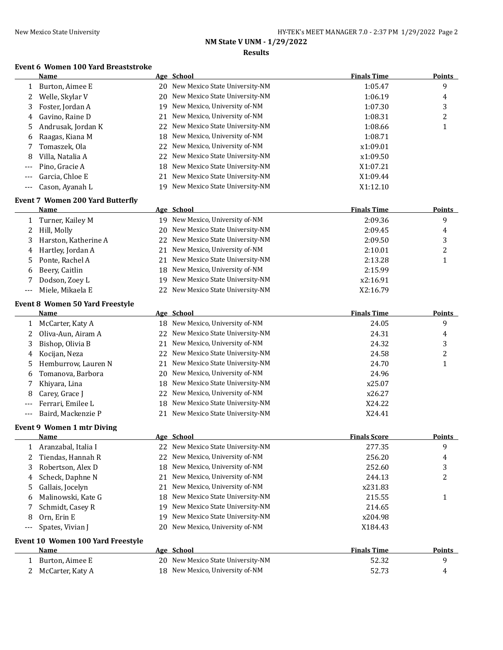# **NM State V UNM - 1/29/2022**

### **Results**

## **Event 6 Women 100 Yard Breaststroke**

|       | <b>Name</b>                             |     | Age School                                                       | <b>Finals Time</b>  | <b>Points</b>    |
|-------|-----------------------------------------|-----|------------------------------------------------------------------|---------------------|------------------|
| 1     | Burton, Aimee E                         |     | 20 New Mexico State University-NM                                | 1:05.47             | 9                |
| 2     | Welle, Skylar V                         | 20  | New Mexico State University-NM                                   | 1:06.19             | 4                |
| 3     | Foster, Jordan A                        |     | 19 New Mexico, University of-NM                                  | 1:07.30             | 3                |
| 4     | Gavino, Raine D                         | 21  | New Mexico, University of-NM                                     | 1:08.31             | $\boldsymbol{2}$ |
| 5     | Andrusak, Jordan K                      | 22  | New Mexico State University-NM                                   | 1:08.66             | $\mathbf{1}$     |
| 6     | Raagas, Kiana M                         | 18  | New Mexico, University of-NM                                     | 1:08.71             |                  |
| 7     | Tomaszek, Ola                           | 22  | New Mexico, University of-NM                                     | x1:09.01            |                  |
| 8     | Villa, Natalia A                        | 22  | New Mexico State University-NM                                   | x1:09.50            |                  |
| ---   | Pino, Gracie A                          | 18  | New Mexico State University-NM                                   | X1:07.21            |                  |
| $---$ | Garcia, Chloe E                         | 21  | New Mexico State University-NM                                   | X1:09.44            |                  |
| $---$ | Cason, Ayanah L                         | 19. | New Mexico State University-NM                                   | X1:12.10            |                  |
|       | <b>Event 7 Women 200 Yard Butterfly</b> |     |                                                                  |                     |                  |
|       | Name                                    |     | Age School                                                       | <b>Finals Time</b>  | <b>Points</b>    |
| 1     | Turner, Kailey M                        |     | 19 New Mexico, University of-NM                                  | 2:09.36             | 9                |
| 2     | Hill, Molly                             | 20  | New Mexico State University-NM                                   | 2:09.45             | 4                |
| 3     | Harston, Katherine A                    | 22  | New Mexico State University-NM                                   | 2:09.50             | 3                |
| 4     | Hartley, Jordan A                       | 21  | New Mexico, University of-NM                                     | 2:10.01             | $\boldsymbol{2}$ |
| 5     | Ponte, Rachel A                         | 21  | New Mexico State University-NM                                   | 2:13.28             | $\mathbf{1}$     |
| 6     | Beery, Caitlin                          | 18  | New Mexico, University of-NM                                     | 2:15.99             |                  |
| 7     | Dodson, Zoey L                          | 19  | New Mexico State University-NM                                   | x2:16.91            |                  |
| ---   | Miele, Mikaela E                        | 22  | New Mexico State University-NM                                   | X2:16.79            |                  |
|       | Event 8 Women 50 Yard Freestyle         |     |                                                                  |                     |                  |
|       | <u>Name</u>                             |     | Age School                                                       | <b>Finals Time</b>  | <b>Points</b>    |
| 1     | McCarter, Katy A                        |     | 18 New Mexico, University of-NM                                  | 24.05               | 9                |
| 2     | Oliva-Aun, Airam A                      | 22  | New Mexico State University-NM                                   | 24.31               | 4                |
| 3     | Bishop, Olivia B                        | 21  | New Mexico, University of-NM                                     | 24.32               | 3                |
| 4     | Kocijan, Neza                           | 22  | New Mexico State University-NM                                   | 24.58               | 2                |
| 5     | Hemburrow, Lauren N                     | 21  | New Mexico State University-NM                                   | 24.70               | $\mathbf{1}$     |
| 6     | Tomanova, Barbora                       | 20  | New Mexico, University of-NM                                     | 24.96               |                  |
| 7     | Khiyara, Lina                           | 18  | New Mexico State University-NM                                   | x25.07              |                  |
| 8     | Carey, Grace J                          | 22  | New Mexico, University of-NM                                     | x26.27              |                  |
| $---$ | Ferrari, Emilee L                       | 18  | New Mexico State University-NM                                   | X24.22              |                  |
| $---$ | Baird, Mackenzie P                      | 21  | New Mexico State University-NM                                   | X24.41              |                  |
|       |                                         |     |                                                                  |                     |                  |
|       | <b>Event 9 Women 1 mtr Diving</b>       |     | Age School                                                       | <b>Finals Score</b> | Points           |
| 1     | <u>Name</u><br>Aranzabal, Italia I      |     | 22 New Mexico State University-NM                                | 277.35              | 9                |
| 2     | Tiendas, Hannah R                       | 22  | New Mexico, University of-NM                                     | 256.20              |                  |
|       |                                         |     | New Mexico, University of-NM                                     |                     | 4                |
| 3     | Robertson, Alex D                       | 18  | New Mexico, University of-NM                                     | 252.60              | 3                |
| 4     | Scheck, Daphne N                        | 21  |                                                                  | 244.13              | 2                |
| 5     | Gallais, Jocelyn                        | 21  | New Mexico, University of-NM                                     | x231.83             |                  |
| 6     | Malinowski, Kate G                      | 18  | New Mexico State University-NM<br>New Mexico State University-NM | 215.55              | $\mathbf{1}$     |
| 7     | Schmidt, Casey R                        | 19  |                                                                  | 214.65              |                  |
| 8     | Orn, Erin E                             | 19  | New Mexico State University-NM                                   | x204.98             |                  |
|       | Spates, Vivian J                        | 20  | New Mexico, University of-NM                                     | X184.43             |                  |
|       | Event 10 Women 100 Yard Freestyle       |     |                                                                  |                     |                  |
|       | Name                                    |     | Age School                                                       | <b>Finals Time</b>  | Points           |
| 1     | Burton, Aimee E                         |     | 20 New Mexico State University-NM                                | 52.32               | 9                |
| 2     | McCarter, Katy A                        |     | 18 New Mexico, University of-NM                                  | 52.73               | 4                |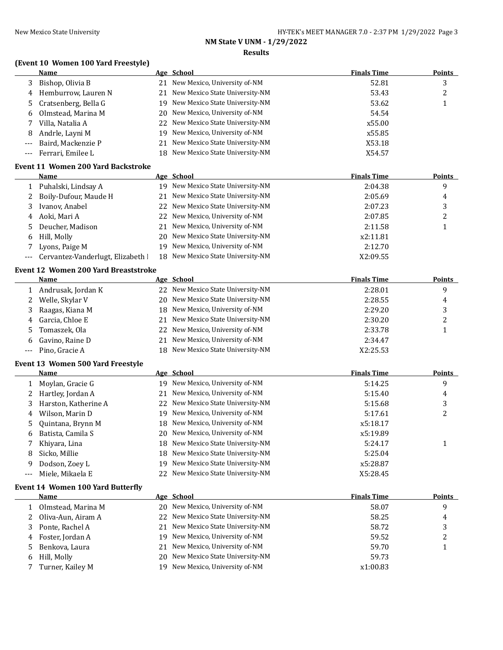# **NM State V UNM - 1/29/2022**

## **Results**

|              | (Event 10 Women 100 Yard Freestyle)         |    |                                   |                    |               |
|--------------|---------------------------------------------|----|-----------------------------------|--------------------|---------------|
|              | Name                                        |    | Age School                        | <b>Finals Time</b> | <b>Points</b> |
| 3            | Bishop, Olivia B                            |    | 21 New Mexico, University of-NM   | 52.81              | 3             |
| 4            | Hemburrow, Lauren N                         | 21 | New Mexico State University-NM    | 53.43              | 2             |
| 5            | Cratsenberg, Bella G                        |    | 19 New Mexico State University-NM | 53.62              | 1             |
| 6            | Olmstead, Marina M                          | 20 | New Mexico, University of-NM      | 54.54              |               |
| 7            | Villa, Natalia A                            | 22 | New Mexico State University-NM    | x55.00             |               |
| 8            | Andrle, Layni M                             | 19 | New Mexico, University of-NM      | x55.85             |               |
|              | Baird, Mackenzie P                          | 21 | New Mexico State University-NM    | X53.18             |               |
|              | Ferrari, Emilee L                           |    | 18 New Mexico State University-NM | X54.57             |               |
|              | <b>Event 11 Women 200 Yard Backstroke</b>   |    |                                   |                    |               |
|              | Name                                        |    | Age School                        | <b>Finals Time</b> | <b>Points</b> |
| 1            | Puhalski, Lindsay A                         |    | 19 New Mexico State University-NM | 2:04.38            | 9             |
| 2            | Boily-Dufour, Maude H                       | 21 | New Mexico State University-NM    | 2:05.69            | 4             |
| 3            | Ivanov, Anabel                              | 22 | New Mexico State University-NM    | 2:07.23            | 3             |
| 4            | Aoki, Mari A                                | 22 | New Mexico, University of-NM      | 2:07.85            | 2             |
| 5            | Deucher, Madison                            | 21 | New Mexico, University of-NM      | 2:11.58            | $\mathbf{1}$  |
| 6            | Hill, Molly                                 |    | 20 New Mexico State University-NM | x2:11.81           |               |
| 7            | Lyons, Paige M                              |    | 19 New Mexico, University of-NM   | 2:12.70            |               |
|              | Cervantez-Vanderlugt, Elizabeth I           |    | 18 New Mexico State University-NM | X2:09.55           |               |
|              | <b>Event 12 Women 200 Yard Breaststroke</b> |    |                                   |                    |               |
|              | <b>Name</b>                                 |    | Age School                        | <b>Finals Time</b> | <b>Points</b> |
| 1            | Andrusak, Jordan K                          |    | 22 New Mexico State University-NM | 2:28.01            | 9             |
| 2            | Welle, Skylar V                             |    | 20 New Mexico State University-NM | 2:28.55            | 4             |
| 3            | Raagas, Kiana M                             |    | 18 New Mexico, University of-NM   | 2:29.20            | 3             |
| 4            | Garcia, Chloe E                             | 21 | New Mexico State University-NM    | 2:30.20            | 2             |
| 5            | Tomaszek, Ola                               | 22 | New Mexico, University of-NM      | 2:33.78            | $\mathbf{1}$  |
| 6            | Gavino, Raine D                             | 21 | New Mexico, University of-NM      | 2:34.47            |               |
| ---          | Pino, Gracie A                              |    | 18 New Mexico State University-NM | X2:25.53           |               |
|              |                                             |    |                                   |                    |               |
|              | Event 13 Women 500 Yard Freestyle           |    |                                   |                    |               |
|              | Name                                        |    | Age School                        | <b>Finals Time</b> | <b>Points</b> |
| 1            | Moylan, Gracie G                            |    | 19 New Mexico, University of-NM   | 5:14.25            | 9             |
| 2            | Hartley, Jordan A                           | 21 | New Mexico, University of-NM      | 5:15.40            | 4             |
| 3            | Harston, Katherine A                        | 22 | New Mexico State University-NM    | 5:15.68            | 3             |
| 4            | Wilson, Marin D                             |    | 19 New Mexico, University of-NM   | 5:17.61            | 2             |
| 5            | Quintana, Brynn M                           |    | 18 New Mexico, University of-NM   | x5:18.17           |               |
| 6            | Batista, Camila S                           |    | 20 New Mexico, University of-NM   | x5:19.89           |               |
| 7            | Khiyara, Lina                               | 18 | New Mexico State University-NM    | 5:24.17            | 1             |
| 8            | Sicko, Millie                               | 18 | New Mexico State University-NM    | 5:25.04            |               |
| 9            | Dodson, Zoey L                              | 19 | New Mexico State University-NM    | x5:28.87           |               |
| ---          | Miele, Mikaela E                            | 22 | New Mexico State University-NM    | X5:28.45           |               |
|              | <b>Event 14 Women 100 Yard Butterfly</b>    |    |                                   |                    |               |
|              | Name                                        |    | Age School                        | <b>Finals Time</b> | <b>Points</b> |
| $\mathbf{1}$ | Olmstead, Marina M                          |    | 20 New Mexico, University of-NM   | 58.07              | 9             |
| 2            | Oliva-Aun, Airam A                          | 22 | New Mexico State University-NM    | 58.25              | 4             |
| 3            | Ponte, Rachel A                             | 21 | New Mexico State University-NM    | 58.72              | 3             |
| 4            | Foster, Jordan A                            | 19 | New Mexico, University of-NM      | 59.52              | 2             |
| 5            | Benkova, Laura                              | 21 | New Mexico, University of-NM      | 59.70              | 1             |
| 6            | Hill, Molly                                 | 20 | New Mexico State University-NM    | 59.73              |               |
| 7            | Turner, Kailey M                            |    | 19 New Mexico, University of-NM   | x1:00.83           |               |
|              |                                             |    |                                   |                    |               |